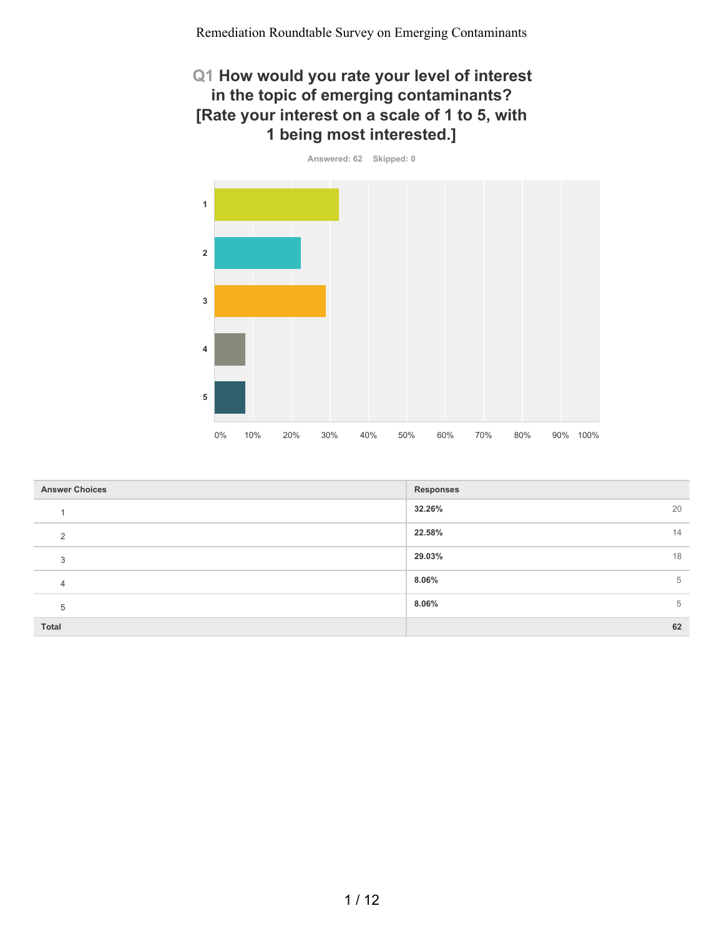### **Q1 How would you rate your level of interest in the topic of emerging contaminants? [Rate your interest on a scale of 1 to 5, with 1 being most interested.]**

**Answered: 62 Skipped: 0 1 2 3 4 5** 0% 10% 20% 30% 40% 50% 60% 70% 80% 90% 100%

| <b>Answer Choices</b> | <b>Responses</b> |
|-----------------------|------------------|
|                       | 32.26%<br>20     |
| 2                     | 22.58%<br>14     |
| 3                     | 29.03%<br>18     |
| $\overline{4}$        | 8.06%<br>5       |
| 5                     | 8.06%<br>5       |
| <b>Total</b>          | 62               |

1 / 12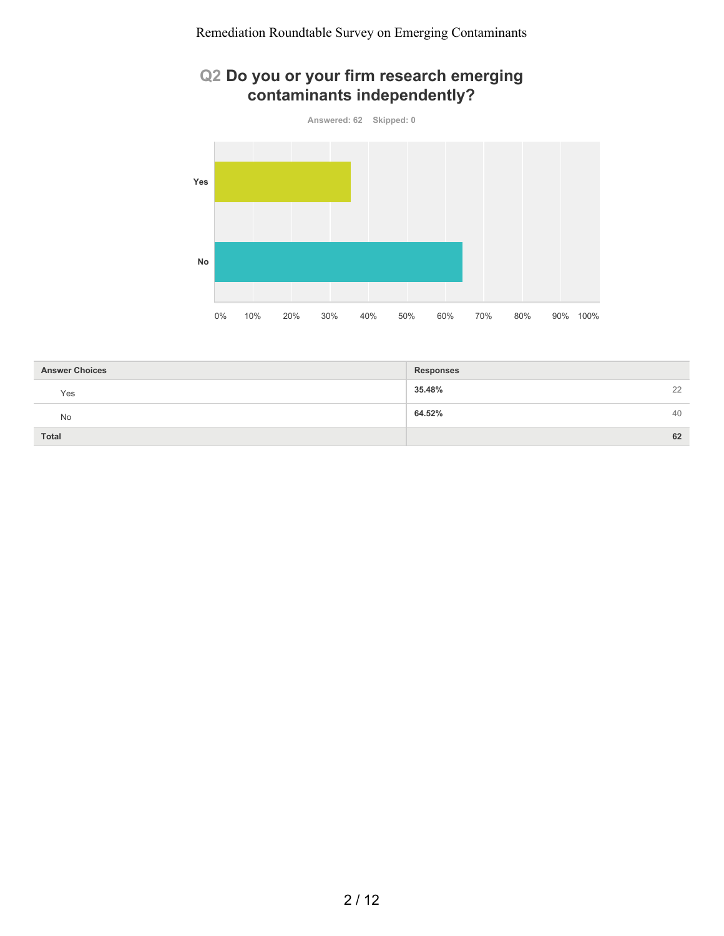# **Q2 Do you or your firm research emerging contaminants independently?**



| <b>Answer Choices</b> | <b>Responses</b> |    |
|-----------------------|------------------|----|
| Yes                   | 35.48%           | 22 |
| <b>No</b>             | 64.52%           | 40 |
| <b>Total</b>          |                  | 62 |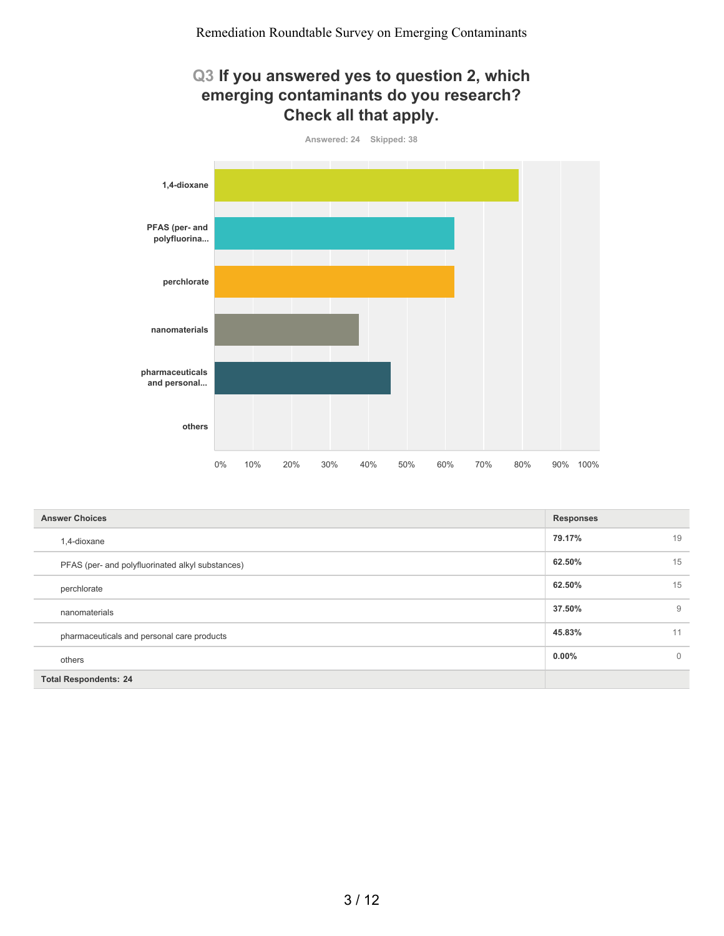#### **Q3 If you answered yes to question 2, which emerging contaminants do you research? Check all that apply.**



| <b>Answer Choices</b>                            | <b>Responses</b> |          |
|--------------------------------------------------|------------------|----------|
| 1,4-dioxane                                      | 79.17%           | 19       |
| PFAS (per- and polyfluorinated alkyl substances) | 62.50%           | 15       |
| perchlorate                                      | 62.50%           | 15       |
| nanomaterials                                    | 37.50%           | 9        |
| pharmaceuticals and personal care products       | 45.83%           | 11       |
| others                                           | $0.00\%$         | $\Omega$ |
| <b>Total Respondents: 24</b>                     |                  |          |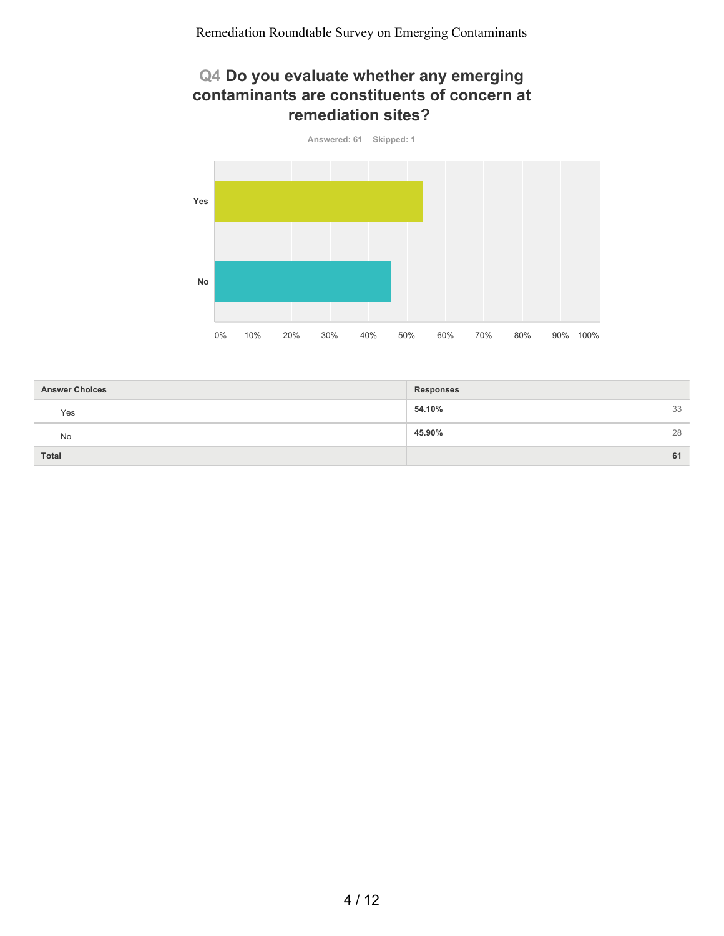### **Q4 Do you evaluate whether any emerging contaminants are constituents of concern at remediation sites?**



| <b>Answer Choices</b> | <b>Responses</b> |    |
|-----------------------|------------------|----|
| Yes                   | 54.10%           | 33 |
| <b>No</b>             | 45.90%           | 28 |
| Total                 |                  | 61 |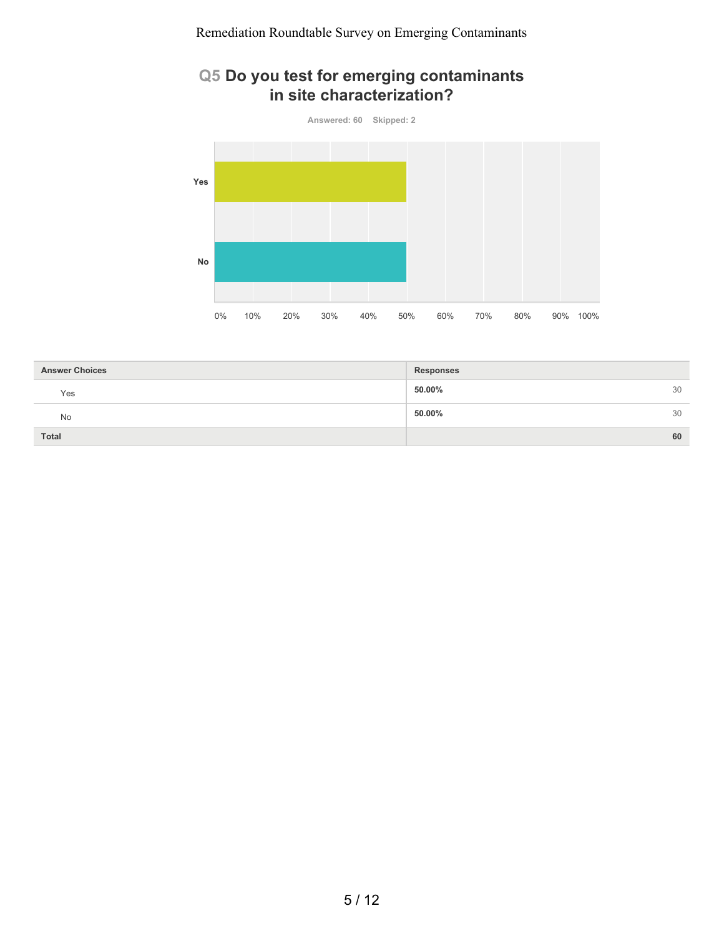### **Q5 Do you test for emerging contaminants in site characterization?**



| <b>Answer Choices</b> | <b>Responses</b> |    |
|-----------------------|------------------|----|
| Yes                   | 50.00%           | 30 |
| No                    | 50.00%           | 30 |
| <b>Total</b>          |                  | 60 |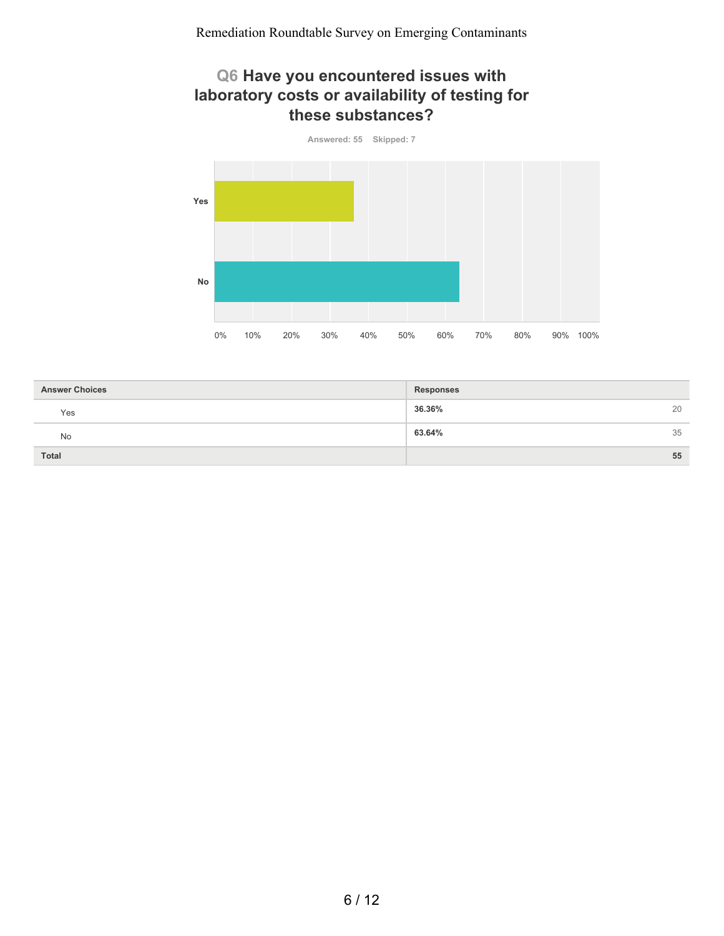### **Q6 Have you encountered issues with laboratory costs or availability of testing for these substances?**



| <b>Answer Choices</b> | <b>Responses</b> |    |
|-----------------------|------------------|----|
| Yes                   | 36.36%           | 20 |
| <b>No</b>             | 63.64%           | 35 |
| <b>Total</b>          |                  | 55 |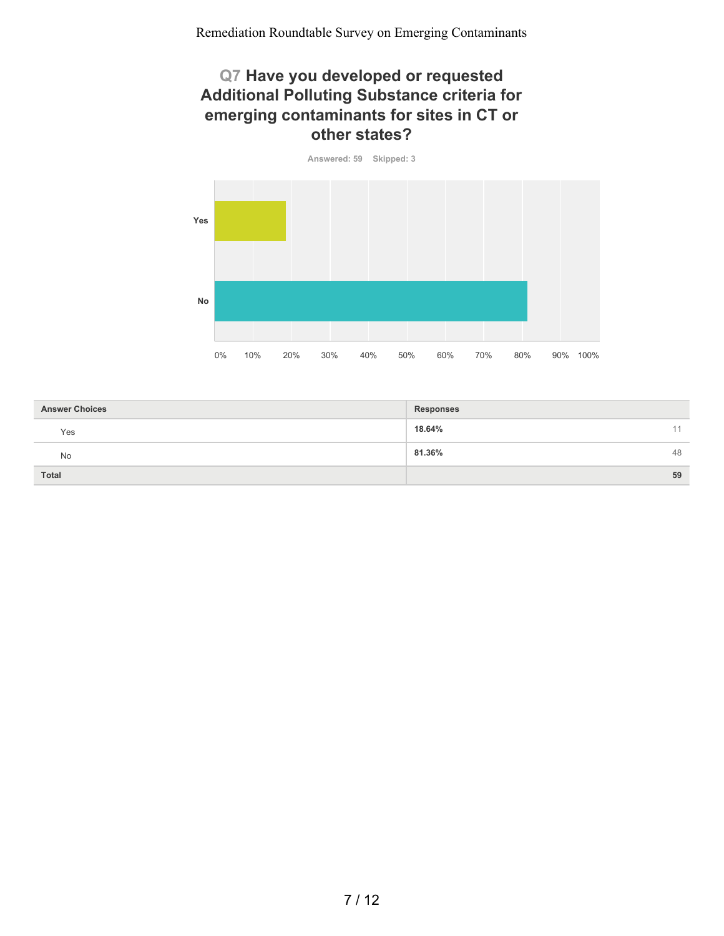#### **Q7 Have you developed or requested Additional Polluting Substance criteria for emerging contaminants for sites in CT or other states?**

**Answered: 59 Skipped: 3 Yes No** 0% 10% 20% 30% 40% 50% 60% 70% 80% 90% 100%

| <b>Answer Choices</b> | <b>Responses</b> |    |
|-----------------------|------------------|----|
| Yes                   | 18.64%           |    |
| No                    | 81.36%           | 48 |
| <b>Total</b>          |                  | 59 |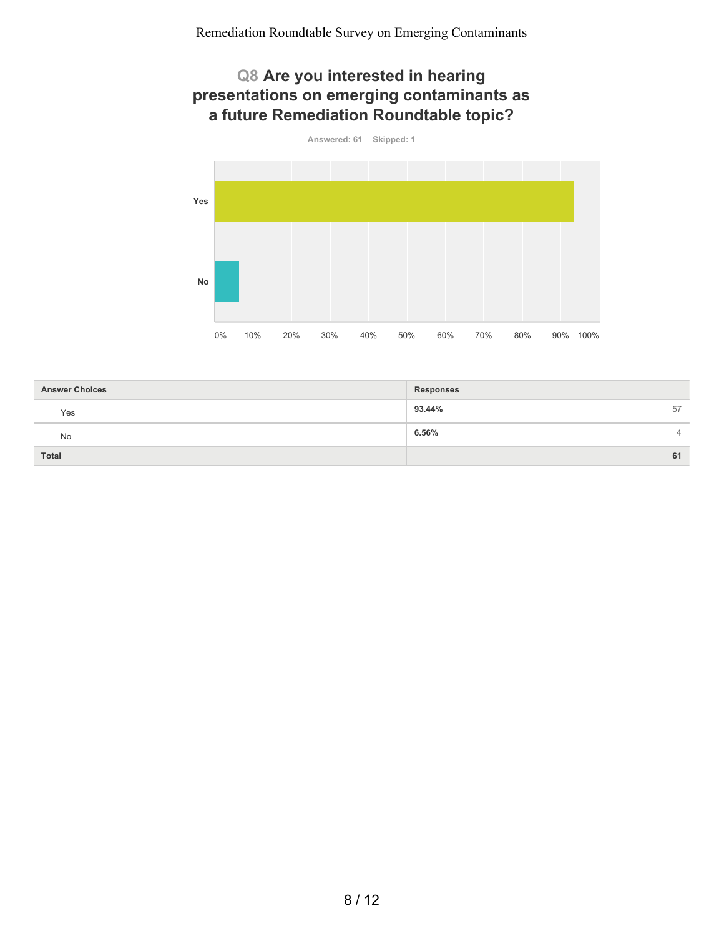### **Q8 Are you interested in hearing presentations on emerging contaminants as a future Remediation Roundtable topic?**



| <b>Answer Choices</b> | <b>Responses</b> |
|-----------------------|------------------|
| Yes                   | 93.44%<br>57     |
| No                    | 6.56%<br>4       |
| <b>Total</b>          | 61               |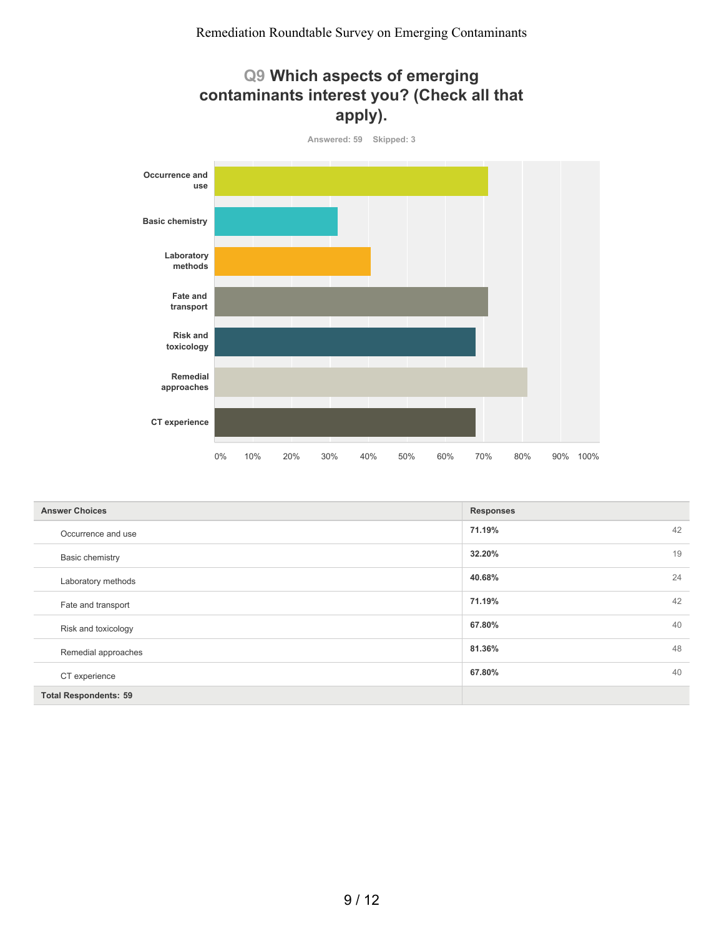



| <b>Answer Choices</b>        | <b>Responses</b> |  |
|------------------------------|------------------|--|
| Occurrence and use           | 71.19%<br>42     |  |
| Basic chemistry              | 19<br>32.20%     |  |
| Laboratory methods           | 24<br>40.68%     |  |
| Fate and transport           | 42<br>71.19%     |  |
| Risk and toxicology          | 40<br>67.80%     |  |
| Remedial approaches          | 48<br>81.36%     |  |
| CT experience                | 40<br>67.80%     |  |
| <b>Total Respondents: 59</b> |                  |  |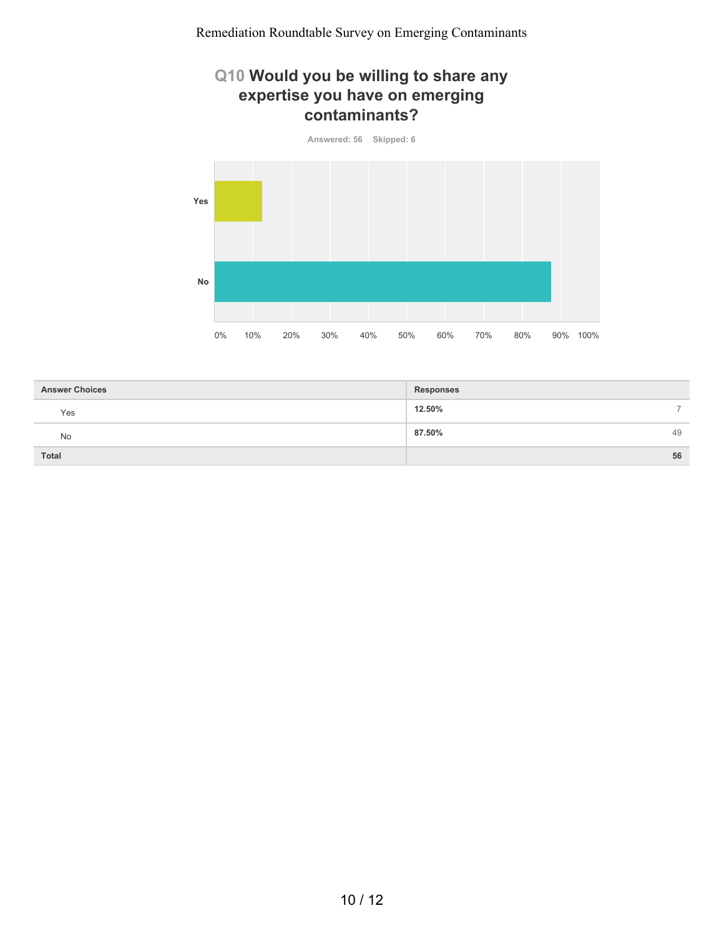### **Q10 Would you be willing to share any expertise you have on emerging contaminants?**



| <b>Answer Choices</b> | <b>Responses</b> |               |
|-----------------------|------------------|---------------|
| Yes                   | 12.50%           | $\rightarrow$ |
| No                    | 87.50%           | 49            |
| <b>Total</b>          |                  | 56            |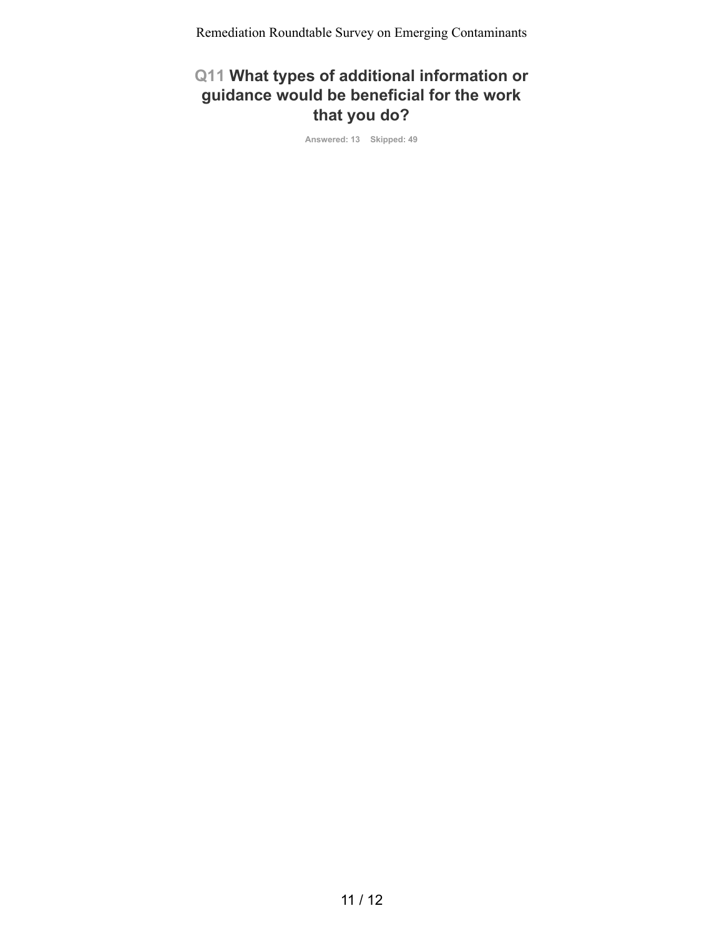## **Q11 What types of additional information or guidance would be beneficial for the work that you do?**

**Answered: 13 Skipped: 49**